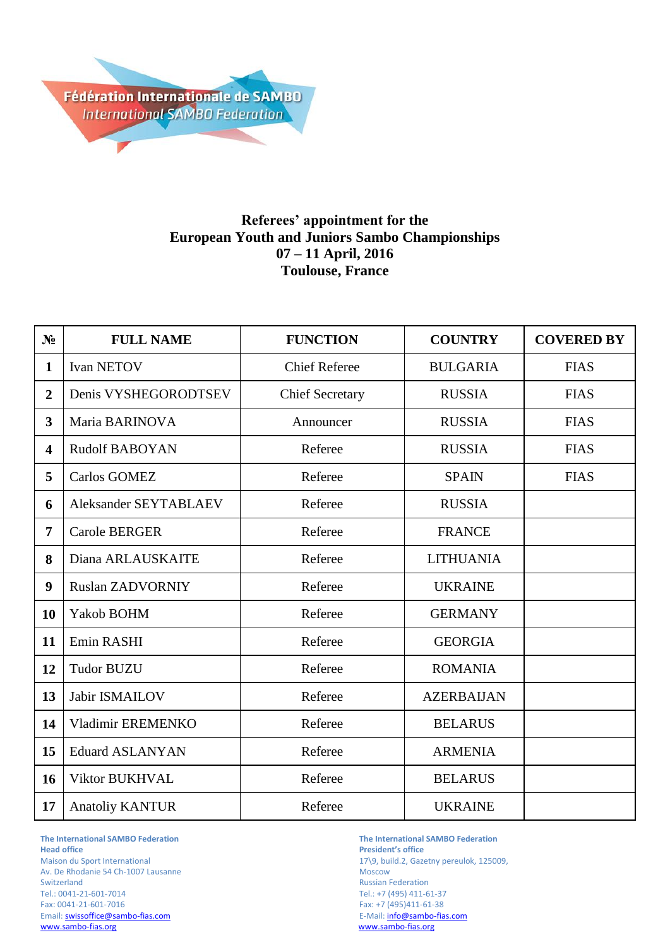

## **Referees' appointment for the European Youth and Juniors Sambo Championships 07 – 11 April, 2016 Toulouse, France**

| N <sub>2</sub>          | <b>FULL NAME</b>        | <b>FUNCTION</b>        | <b>COUNTRY</b>    | <b>COVERED BY</b> |
|-------------------------|-------------------------|------------------------|-------------------|-------------------|
| $\mathbf{1}$            | <b>Ivan NETOV</b>       | <b>Chief Referee</b>   | <b>BULGARIA</b>   | <b>FIAS</b>       |
| $\overline{2}$          | Denis VYSHEGORODTSEV    | <b>Chief Secretary</b> | <b>RUSSIA</b>     | <b>FIAS</b>       |
| $\overline{3}$          | Maria BARINOVA          | Announcer              | <b>RUSSIA</b>     | <b>FIAS</b>       |
| $\overline{\mathbf{4}}$ | <b>Rudolf BABOYAN</b>   | Referee                | <b>RUSSIA</b>     | <b>FIAS</b>       |
| 5                       | <b>Carlos GOMEZ</b>     | Referee                | <b>SPAIN</b>      | <b>FIAS</b>       |
| 6                       | Aleksander SEYTABLAEV   | Referee                | <b>RUSSIA</b>     |                   |
| 7                       | <b>Carole BERGER</b>    | Referee                | <b>FRANCE</b>     |                   |
| 8                       | Diana ARLAUSKAITE       | Referee                | <b>LITHUANIA</b>  |                   |
| 9                       | <b>Ruslan ZADVORNIY</b> | Referee                | <b>UKRAINE</b>    |                   |
| 10                      | Yakob BOHM              | Referee                | <b>GERMANY</b>    |                   |
| 11                      | Emin RASHI              | Referee                | <b>GEORGIA</b>    |                   |
| 12                      | <b>Tudor BUZU</b>       | Referee                | <b>ROMANIA</b>    |                   |
| 13                      | Jabir ISMAILOV          | Referee                | <b>AZERBAIJAN</b> |                   |
| 14                      | Vladimir EREMENKO       | Referee                | <b>BELARUS</b>    |                   |
| 15                      | <b>Eduard ASLANYAN</b>  | Referee                | <b>ARMENIA</b>    |                   |
| 16                      | Viktor BUKHVAL          | Referee                | <b>BELARUS</b>    |                   |
| 17                      | <b>Anatoliy KANTUR</b>  | Referee                | <b>UKRAINE</b>    |                   |

**The International SAMBO Federation The International SAMBO Federation** Av. De Rhodanie 54 Ch-1007 Lausanne Switzerland Russian Federation<br>
Tel.: 0041-21-601-7014 CHE RUSSIAN Tel.: +7 (495) 411-6 Tel.: 0041-21-601-7014 Tel.: +7 (495) 411-61-37 Email[: swissoffice@sambo-fias.com](mailto:swissoffice@sambo-fias.com)<br>www.sambo-fias.org

**President's office** Maison du Sport International 17\9, build.2, Gazetny pereulok, 125009, Av. De Rhodanie 54 Ch-1007 Lausanne Fax: +7 (495)411-61-38<br>E-Mail: info@sambo-fias.com www.sambo-fias.org